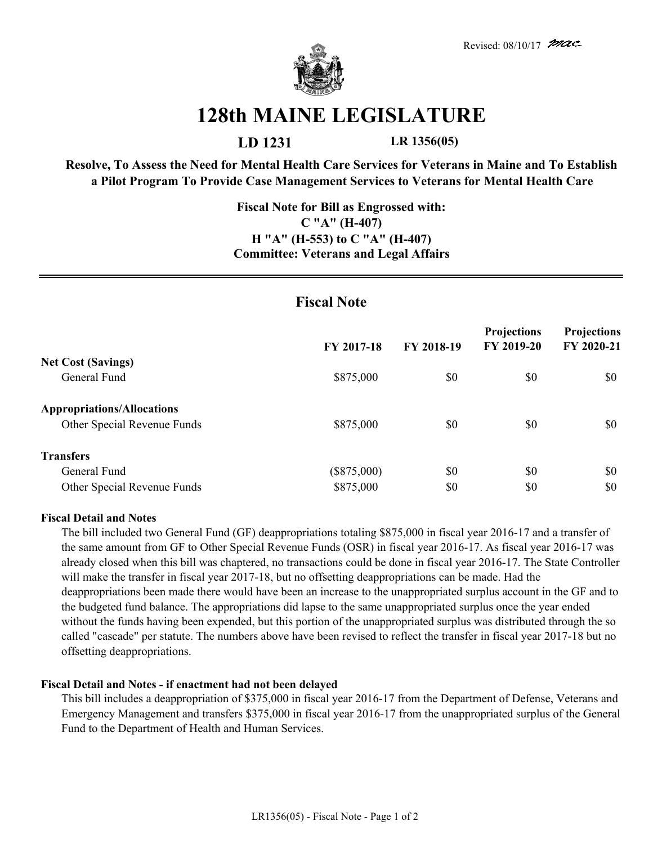

# **128th MAINE LEGISLATURE**

**LD 1231 LR 1356(05)**

**Resolve, To Assess the Need for Mental Health Care Services for Veterans in Maine and To Establish a Pilot Program To Provide Case Management Services to Veterans for Mental Health Care**

## **Fiscal Note for Bill as Engrossed with: C "A" (H-407) H "A" (H-553) to C "A" (H-407) Committee: Veterans and Legal Affairs**

# **Fiscal Note**

|                                   | FY 2017-18    | FY 2018-19 | <b>Projections</b><br>FY 2019-20 | <b>Projections</b><br>FY 2020-21 |
|-----------------------------------|---------------|------------|----------------------------------|----------------------------------|
| <b>Net Cost (Savings)</b>         |               |            |                                  |                                  |
| General Fund                      | \$875,000     | \$0        | \$0                              | \$0                              |
| <b>Appropriations/Allocations</b> |               |            |                                  |                                  |
| Other Special Revenue Funds       | \$875,000     | \$0        | \$0                              | \$0                              |
| <b>Transfers</b>                  |               |            |                                  |                                  |
| General Fund                      | $(\$875,000)$ | \$0        | \$0                              | \$0                              |
| Other Special Revenue Funds       | \$875,000     | \$0        | \$0                              | \$0                              |

#### **Fiscal Detail and Notes**

The bill included two General Fund (GF) deappropriations totaling \$875,000 in fiscal year 2016-17 and a transfer of the same amount from GF to Other Special Revenue Funds (OSR) in fiscal year 2016-17. As fiscal year 2016-17 was already closed when this bill was chaptered, no transactions could be done in fiscal year 2016-17. The State Controller will make the transfer in fiscal year 2017-18, but no offsetting deappropriations can be made. Had the deappropriations been made there would have been an increase to the unappropriated surplus account in the GF and to the budgeted fund balance. The appropriations did lapse to the same unappropriated surplus once the year ended without the funds having been expended, but this portion of the unappropriated surplus was distributed through the so called "cascade" per statute. The numbers above have been revised to reflect the transfer in fiscal year 2017-18 but no offsetting deappropriations.

### **Fiscal Detail and Notes - if enactment had not been delayed**

This bill includes a deappropriation of \$375,000 in fiscal year 2016-17 from the Department of Defense, Veterans and Emergency Management and transfers \$375,000 in fiscal year 2016-17 from the unappropriated surplus of the General Fund to the Department of Health and Human Services.